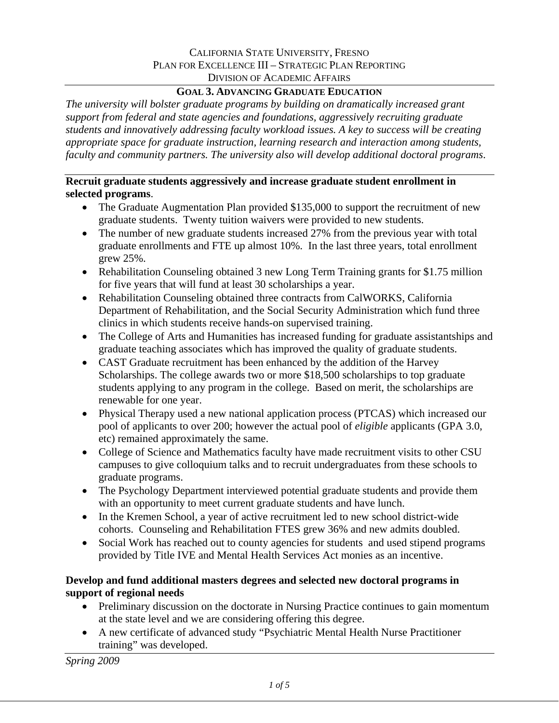# **GOAL 3. ADVANCING GRADUATE EDUCATION**

*The university will bolster graduate programs by building on dramatically increased grant support from federal and state agencies and foundations, aggressively recruiting graduate students and innovatively addressing faculty workload issues. A key to success will be creating appropriate space for graduate instruction, learning research and interaction among students, faculty and community partners. The university also will develop additional doctoral programs*.

### **Recruit graduate students aggressively and increase graduate student enrollment in selected programs**.

- The Graduate Augmentation Plan provided \$135,000 to support the recruitment of new graduate students. Twenty tuition waivers were provided to new students.
- The number of new graduate students increased 27% from the previous year with total graduate enrollments and FTE up almost 10%. In the last three years, total enrollment grew 25%.
- Rehabilitation Counseling obtained 3 new Long Term Training grants for \$1.75 million for five years that will fund at least 30 scholarships a year.
- Rehabilitation Counseling obtained three contracts from CalWORKS, California Department of Rehabilitation, and the Social Security Administration which fund three clinics in which students receive hands-on supervised training.
- The College of Arts and Humanities has increased funding for graduate assistantships and graduate teaching associates which has improved the quality of graduate students.
- CAST Graduate recruitment has been enhanced by the addition of the Harvey Scholarships. The college awards two or more \$18,500 scholarships to top graduate students applying to any program in the college. Based on merit, the scholarships are renewable for one year.
- Physical Therapy used a new national application process (PTCAS) which increased our pool of applicants to over 200; however the actual pool of *eligible* applicants (GPA 3.0, etc) remained approximately the same.
- College of Science and Mathematics faculty have made recruitment visits to other CSU campuses to give colloquium talks and to recruit undergraduates from these schools to graduate programs.
- The Psychology Department interviewed potential graduate students and provide them with an opportunity to meet current graduate students and have lunch.
- In the Kremen School, a year of active recruitment led to new school district-wide cohorts. Counseling and Rehabilitation FTES grew 36% and new admits doubled.
- Social Work has reached out to county agencies for students and used stipend programs provided by Title IVE and Mental Health Services Act monies as an incentive.

# **Develop and fund additional masters degrees and selected new doctoral programs in support of regional needs**

- Preliminary discussion on the doctorate in Nursing Practice continues to gain momentum at the state level and we are considering offering this degree.
- A new certificate of advanced study "Psychiatric Mental Health Nurse Practitioner training" was developed.

*Spring 2009*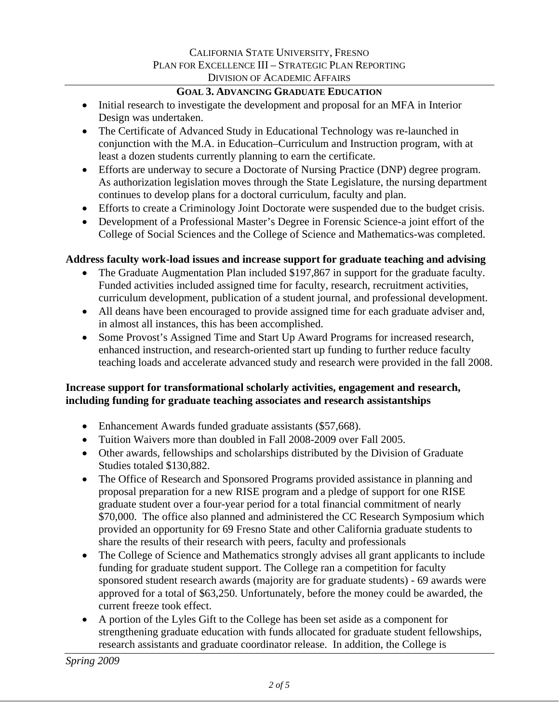# **GOAL 3. ADVANCING GRADUATE EDUCATION**

- Initial research to investigate the development and proposal for an MFA in Interior Design was undertaken.
- The Certificate of Advanced Study in Educational Technology was re-launched in conjunction with the M.A. in Education–Curriculum and Instruction program, with at least a dozen students currently planning to earn the certificate.
- Efforts are underway to secure a Doctorate of Nursing Practice (DNP) degree program. As authorization legislation moves through the State Legislature, the nursing department continues to develop plans for a doctoral curriculum, faculty and plan.
- Efforts to create a Criminology Joint Doctorate were suspended due to the budget crisis.
- Development of a Professional Master's Degree in Forensic Science-a joint effort of the College of Social Sciences and the College of Science and Mathematics-was completed.

# **Address faculty work-load issues and increase support for graduate teaching and advising**

- The Graduate Augmentation Plan included \$197,867 in support for the graduate faculty. Funded activities included assigned time for faculty, research, recruitment activities, curriculum development, publication of a student journal, and professional development.
- All deans have been encouraged to provide assigned time for each graduate adviser and, in almost all instances, this has been accomplished.
- Some Provost's Assigned Time and Start Up Award Programs for increased research, enhanced instruction, and research-oriented start up funding to further reduce faculty teaching loads and accelerate advanced study and research were provided in the fall 2008.

# **Increase support for transformational scholarly activities, engagement and research, including funding for graduate teaching associates and research assistantships**

- Enhancement Awards funded graduate assistants (\$57,668).
- Tuition Waivers more than doubled in Fall 2008-2009 over Fall 2005.
- Other awards, fellowships and scholarships distributed by the Division of Graduate Studies totaled \$130,882.
- The Office of Research and Sponsored Programs provided assistance in planning and proposal preparation for a new RISE program and a pledge of support for one RISE graduate student over a four-year period for a total financial commitment of nearly \$70,000. The office also planned and administered the CC Research Symposium which provided an opportunity for 69 Fresno State and other California graduate students to share the results of their research with peers, faculty and professionals
- The College of Science and Mathematics strongly advises all grant applicants to include funding for graduate student support. The College ran a competition for faculty sponsored student research awards (majority are for graduate students) - 69 awards were approved for a total of \$63,250. Unfortunately, before the money could be awarded, the current freeze took effect.
- A portion of the Lyles Gift to the College has been set aside as a component for strengthening graduate education with funds allocated for graduate student fellowships, research assistants and graduate coordinator release. In addition, the College is

*Spring 2009*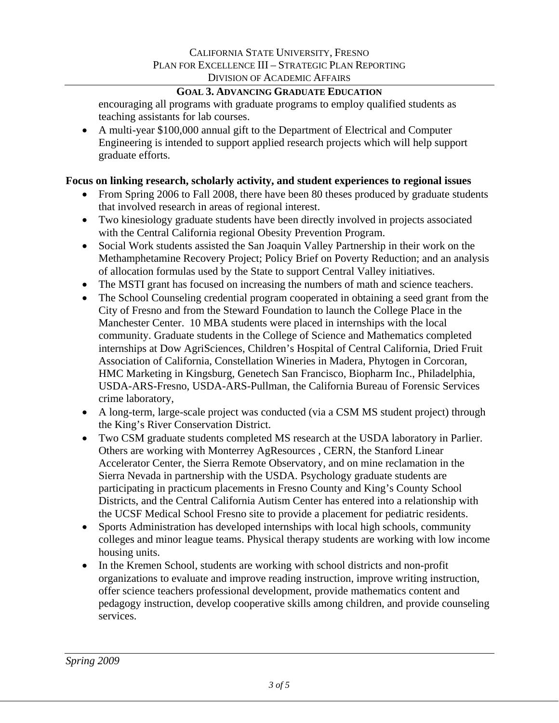### **GOAL 3. ADVANCING GRADUATE EDUCATION**

encouraging all programs with graduate programs to employ qualified students as teaching assistants for lab courses.

• A multi-year \$100,000 annual gift to the Department of Electrical and Computer Engineering is intended to support applied research projects which will help support graduate efforts.

### **Focus on linking research, scholarly activity, and student experiences to regional issues**

- From Spring 2006 to Fall 2008, there have been 80 theses produced by graduate students that involved research in areas of regional interest.
- Two kinesiology graduate students have been directly involved in projects associated with the Central California regional Obesity Prevention Program.
- Social Work students assisted the San Joaquin Valley Partnership in their work on the Methamphetamine Recovery Project; Policy Brief on Poverty Reduction; and an analysis of allocation formulas used by the State to support Central Valley initiatives.
- The MSTI grant has focused on increasing the numbers of math and science teachers.
- The School Counseling credential program cooperated in obtaining a seed grant from the City of Fresno and from the Steward Foundation to launch the College Place in the Manchester Center. 10 MBA students were placed in internships with the local community. Graduate students in the College of Science and Mathematics completed internships at Dow AgriSciences, Children's Hospital of Central California, Dried Fruit Association of California, Constellation Wineries in Madera, Phytogen in Corcoran, HMC Marketing in Kingsburg, Genetech San Francisco, Biopharm Inc., Philadelphia, USDA-ARS-Fresno, USDA-ARS-Pullman, the California Bureau of Forensic Services crime laboratory,
- A long-term, large-scale project was conducted (via a CSM MS student project) through the King's River Conservation District.
- Two CSM graduate students completed MS research at the USDA laboratory in Parlier. Others are working with Monterrey AgResources , CERN, the Stanford Linear Accelerator Center, the Sierra Remote Observatory, and on mine reclamation in the Sierra Nevada in partnership with the USDA. Psychology graduate students are participating in practicum placements in Fresno County and King's County School Districts, and the Central California Autism Center has entered into a relationship with the UCSF Medical School Fresno site to provide a placement for pediatric residents.
- Sports Administration has developed internships with local high schools, community colleges and minor league teams. Physical therapy students are working with low income housing units.
- In the Kremen School, students are working with school districts and non-profit organizations to evaluate and improve reading instruction, improve writing instruction, offer science teachers professional development, provide mathematics content and pedagogy instruction, develop cooperative skills among children, and provide counseling services.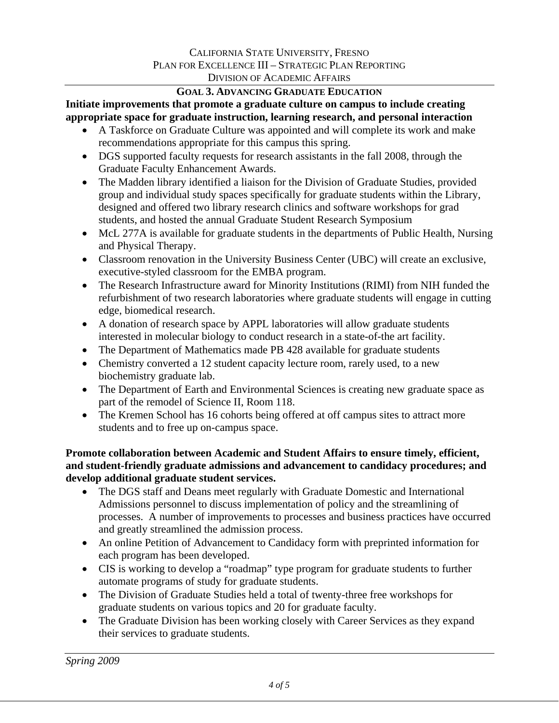#### **GOAL 3. ADVANCING GRADUATE EDUCATION**

**Initiate improvements that promote a graduate culture on campus to include creating appropriate space for graduate instruction, learning research, and personal interaction** 

- A Taskforce on Graduate Culture was appointed and will complete its work and make recommendations appropriate for this campus this spring.
- DGS supported faculty requests for research assistants in the fall 2008, through the Graduate Faculty Enhancement Awards.
- The Madden library identified a liaison for the Division of Graduate Studies, provided group and individual study spaces specifically for graduate students within the Library, designed and offered two library research clinics and software workshops for grad students, and hosted the annual Graduate Student Research Symposium
- McL 277A is available for graduate students in the departments of Public Health, Nursing and Physical Therapy.
- Classroom renovation in the University Business Center (UBC) will create an exclusive, executive-styled classroom for the EMBA program.
- The Research Infrastructure award for Minority Institutions (RIMI) from NIH funded the refurbishment of two research laboratories where graduate students will engage in cutting edge, biomedical research.
- A donation of research space by APPL laboratories will allow graduate students interested in molecular biology to conduct research in a state-of-the art facility.
- The Department of Mathematics made PB 428 available for graduate students
- Chemistry converted a 12 student capacity lecture room, rarely used, to a new biochemistry graduate lab.
- The Department of Earth and Environmental Sciences is creating new graduate space as part of the remodel of Science II, Room 118.
- The Kremen School has 16 cohorts being offered at off campus sites to attract more students and to free up on-campus space.

# **Promote collaboration between Academic and Student Affairs to ensure timely, efficient, and student-friendly graduate admissions and advancement to candidacy procedures; and develop additional graduate student services.**

- The DGS staff and Deans meet regularly with Graduate Domestic and International Admissions personnel to discuss implementation of policy and the streamlining of processes. A number of improvements to processes and business practices have occurred and greatly streamlined the admission process.
- An online Petition of Advancement to Candidacy form with preprinted information for each program has been developed.
- CIS is working to develop a "roadmap" type program for graduate students to further automate programs of study for graduate students.
- The Division of Graduate Studies held a total of twenty-three free workshops for graduate students on various topics and 20 for graduate faculty.
- The Graduate Division has been working closely with Career Services as they expand their services to graduate students.